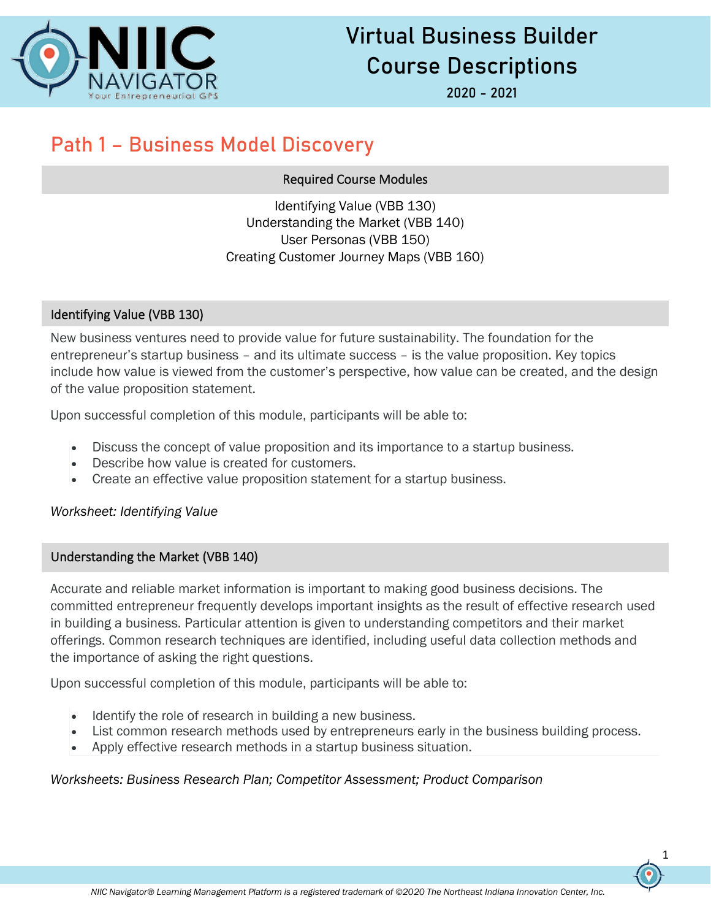

# Virtual Business Builder Course Descriptions

2020 - 2021

## Path 1 – Business Model Discovery

## Required Course Modules

Identifying Value (VBB 130) Understanding the Market (VBB 140) User Personas (VBB 150) Creating Customer Journey Maps (VBB 160)

## Identifying Value (VBB 130)

New business ventures need to provide value for future sustainability. The foundation for the entrepreneur's startup business – and its ultimate success – is the value proposition. Key topics include how value is viewed from the customer's perspective, how value can be created, and the design of the value proposition statement.

Upon successful completion of this module, participants will be able to:

- Discuss the concept of value proposition and its importance to a startup business.
- Describe how value is created for customers.
- Create an effective value proposition statement for a startup business.

*Worksheet: Identifying Value*

## Understanding the Market (VBB 140)

Accurate and reliable market information is important to making good business decisions. The committed entrepreneur frequently develops important insights as the result of effective research used in building a business. Particular attention is given to understanding competitors and their market offerings. Common research techniques are identified, including useful data collection methods and the importance of asking the right questions.

Upon successful completion of this module, participants will be able to:

- Identify the role of research in building a new business.
- List common research methods used by entrepreneurs early in the business building process.
- Apply effective research methods in a startup business situation.

## *Worksheets: Business Research Plan; Competitor Assessment; Product Comparison*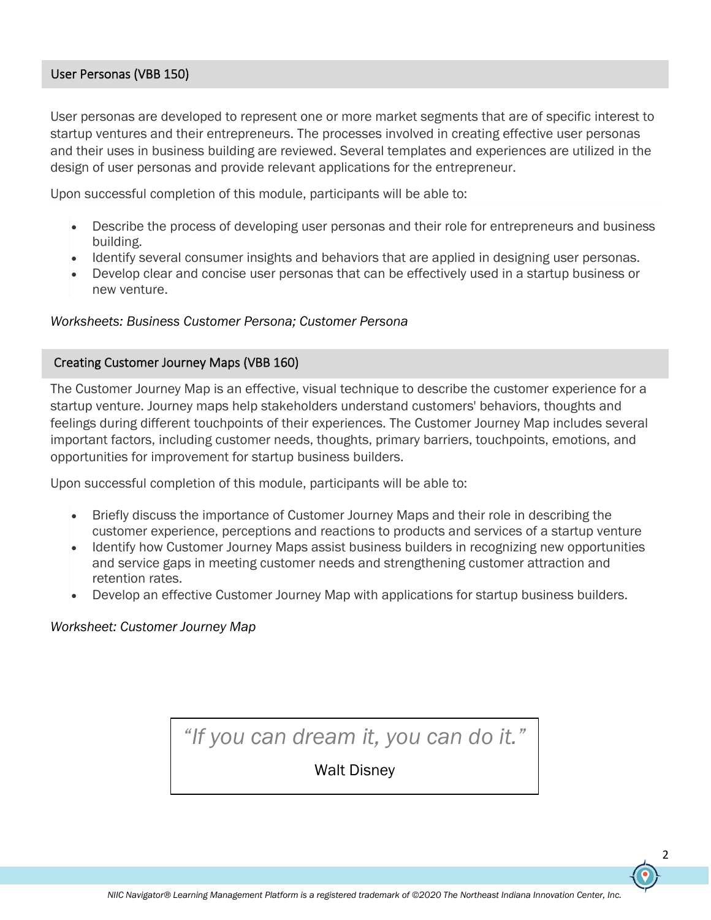#### User Personas (VBB 150)

User personas are developed to represent one or more market segments that are of specific interest to startup ventures and their entrepreneurs. The processes involved in creating effective user personas and their uses in business building are reviewed. Several templates and experiences are utilized in the design of user personas and provide relevant applications for the entrepreneur.

Upon successful completion of this module, participants will be able to:

- Describe the process of developing user personas and their role for entrepreneurs and business building.
- Identify several consumer insights and behaviors that are applied in designing user personas.
- Develop clear and concise user personas that can be effectively used in a startup business or new venture.

#### *Worksheets: Business Customer Persona; Customer Persona*

#### Creating Customer Journey Maps (VBB 160)

The Customer Journey Map is an effective, visual technique to describe the customer experience for a startup venture. Journey maps help stakeholders understand customers' behaviors, thoughts and feelings during different touchpoints of their experiences. The Customer Journey Map includes several important factors, including customer needs, thoughts, primary barriers, touchpoints, emotions, and opportunities for improvement for startup business builders.

Upon successful completion of this module, participants will be able to:

- Briefly discuss the importance of Customer Journey Maps and their role in describing the customer experience, perceptions and reactions to products and services of a startup venture
- Identify how Customer Journey Maps assist business builders in recognizing new opportunities and service gaps in meeting customer needs and strengthening customer attraction and retention rates.
- Develop an effective Customer Journey Map with applications for startup business builders.

#### *Worksheet: Customer Journey Map*

*"If you can dream it, you can do it."*

Walt Disney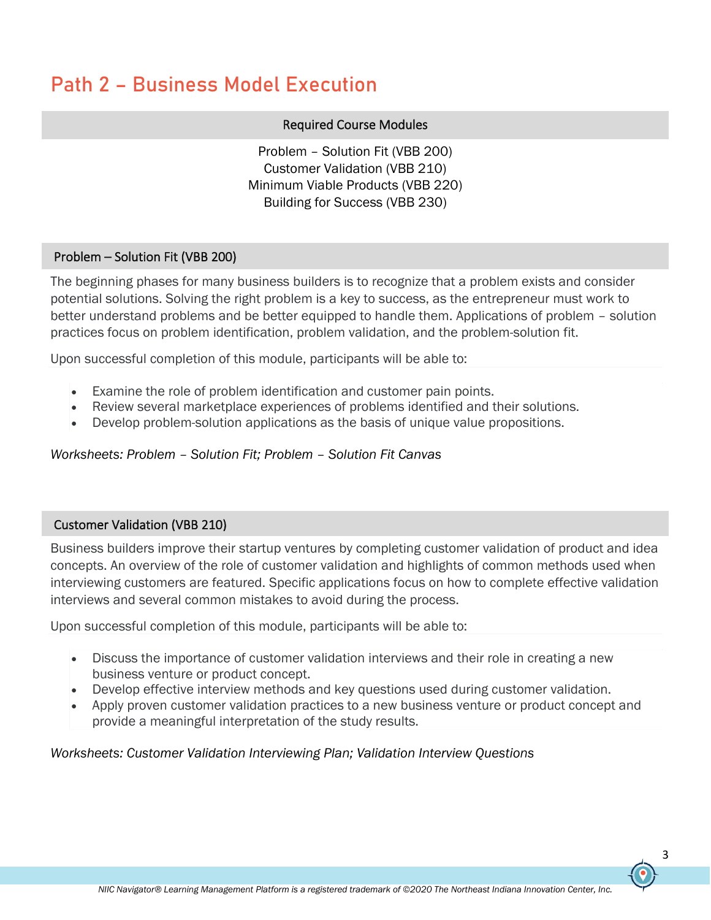## Path 2 – Business Model Execution

#### Required Course Modules

Problem – Solution Fit (VBB 200) Customer Validation (VBB 210) Minimum Viable Products (VBB 220) Building for Success (VBB 230)

#### Problem – Solution Fit (VBB 200)

The beginning phases for many business builders is to recognize that a problem exists and consider potential solutions. Solving the right problem is a key to success, as the entrepreneur must work to better understand problems and be better equipped to handle them. Applications of problem – solution practices focus on problem identification, problem validation, and the problem-solution fit.

Upon successful completion of this module, participants will be able to:

- Examine the role of problem identification and customer pain points.
- Review several marketplace experiences of problems identified and their solutions.
- Develop problem-solution applications as the basis of unique value propositions.

#### *Worksheets: Problem – Solution Fit; Problem – Solution Fit Canvas*

#### Customer Validation (VBB 210)

Business builders improve their startup ventures by completing customer validation of product and idea concepts. An overview of the role of customer validation and highlights of common methods used when interviewing customers are featured. Specific applications focus on how to complete effective validation interviews and several common mistakes to avoid during the process.

Upon successful completion of this module, participants will be able to:

- Discuss the importance of customer validation interviews and their role in creating a new business venture or product concept.
- Develop effective interview methods and key questions used during customer validation.
- Apply proven customer validation practices to a new business venture or product concept and provide a meaningful interpretation of the study results.

*Worksheets: Customer Validation Interviewing Plan; Validation Interview Questions*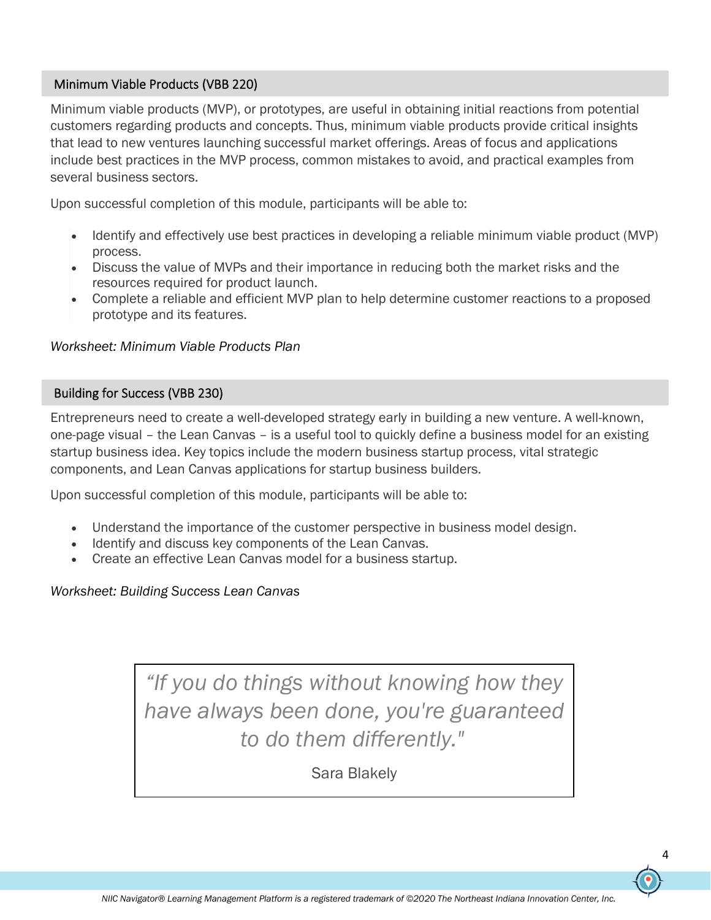### Minimum Viable Products (VBB 220)

Minimum viable products (MVP), or prototypes, are useful in obtaining initial reactions from potential customers regarding products and concepts. Thus, minimum viable products provide critical insights that lead to new ventures launching successful market offerings. Areas of focus and applications include best practices in the MVP process, common mistakes to avoid, and practical examples from several business sectors.

Upon successful completion of this module, participants will be able to:

- Identify and effectively use best practices in developing a reliable minimum viable product (MVP) process.
- Discuss the value of MVPs and their importance in reducing both the market risks and the resources required for product launch.
- Complete a reliable and efficient MVP plan to help determine customer reactions to a proposed prototype and its features.

### *Worksheet: Minimum Viable Products Plan*

### Building for Success (VBB 230)

Entrepreneurs need to create a well-developed strategy early in building a new venture. A well-known, one-page visual – the Lean Canvas – is a useful tool to quickly define a business model for an existing startup business idea. Key topics include the modern business startup process, vital strategic components, and Lean Canvas applications for startup business builders.

Upon successful completion of this module, participants will be able to:

- Understand the importance of the customer perspective in business model design.
- Identify and discuss key components of the Lean Canvas.
- Create an effective Lean Canvas model for a business startup.

*Worksheet: Building Success Lean Canvas*

*"If you do things without knowing how they have always been done, you're guaranteed to do them differently."*

Sara Blakely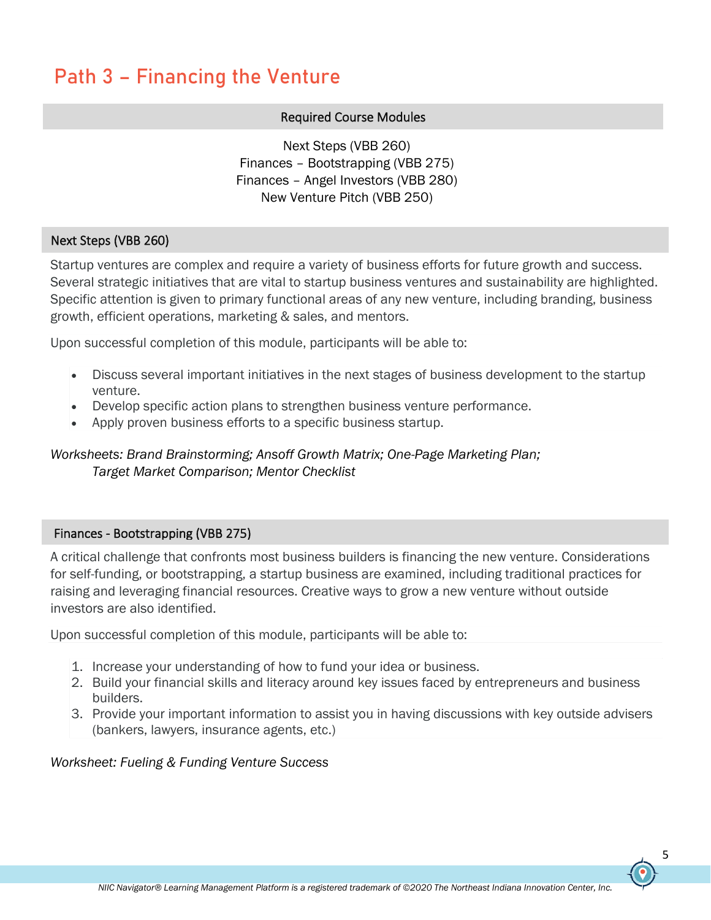## Path 3 – Financing the Venture

#### Required Course Modules

Next Steps (VBB 260) Finances – Bootstrapping (VBB 275) Finances – Angel Investors (VBB 280) New Venture Pitch (VBB 250)

#### Next Steps (VBB 260)

Startup ventures are complex and require a variety of business efforts for future growth and success. Several strategic initiatives that are vital to startup business ventures and sustainability are highlighted. Specific attention is given to primary functional areas of any new venture, including branding, business growth, efficient operations, marketing & sales, and mentors.

Upon successful completion of this module, participants will be able to:

- Discuss several important initiatives in the next stages of business development to the startup venture.
- Develop specific action plans to strengthen business venture performance.
- Apply proven business efforts to a specific business startup.

## *Worksheets: Brand Brainstorming; Ansoff Growth Matrix; One-Page Marketing Plan; Target Market Comparison; Mentor Checklist*

#### Finances - Bootstrapping (VBB 275)

A critical challenge that confronts most business builders is financing the new venture. Considerations for self-funding, or bootstrapping, a startup business are examined, including traditional practices for raising and leveraging financial resources. Creative ways to grow a new venture without outside investors are also identified.

Upon successful completion of this module, participants will be able to:

- 1. Increase your understanding of how to fund your idea or business.
- 2. Build your financial skills and literacy around key issues faced by entrepreneurs and business builders.
- 3. Provide your important information to assist you in having discussions with key outside advisers (bankers, lawyers, insurance agents, etc.)

*Worksheet: Fueling & Funding Venture Success*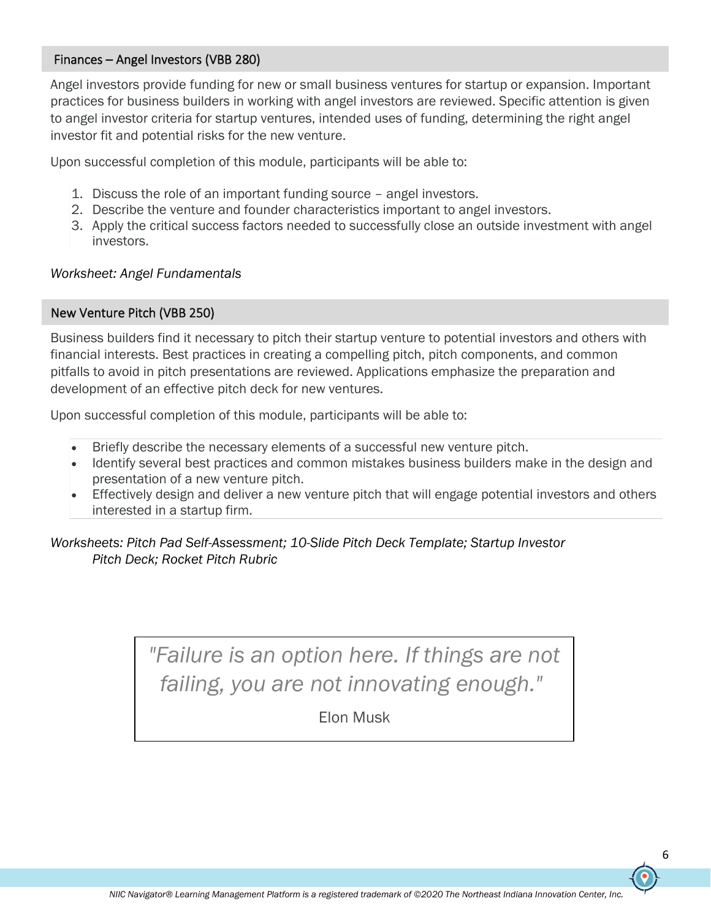#### Finances – Angel Investors (VBB 280)

Angel investors provide funding for new or small business ventures for startup or expansion. Important practices for business builders in working with angel investors are reviewed. Specific attention is given to angel investor criteria for startup ventures, intended uses of funding, determining the right angel investor fit and potential risks for the new venture.

Upon successful completion of this module, participants will be able to:

- 1. Discuss the role of an important funding source angel investors.
- 2. Describe the venture and founder characteristics important to angel investors.
- 3. Apply the critical success factors needed to successfully close an outside investment with angel investors.

#### *Worksheet: Angel Fundamentals*

#### New Venture Pitch (VBB 250)

Business builders find it necessary to pitch their startup venture to potential investors and others with financial interests. Best practices in creating a compelling pitch, pitch components, and common pitfalls to avoid in pitch presentations are reviewed. Applications emphasize the preparation and development of an effective pitch deck for new ventures.

Upon successful completion of this module, participants will be able to:

- Briefly describe the necessary elements of a successful new venture pitch.
- Identify several best practices and common mistakes business builders make in the design and presentation of a new venture pitch.
- Effectively design and deliver a new venture pitch that will engage potential investors and others interested in a startup firm.

## *Worksheets: Pitch Pad Self-Assessment; 10-Slide Pitch Deck Template; Startup Investor Pitch Deck; Rocket Pitch Rubric*

*"Failure is an option here. If things are not failing, you are not innovating enough."*

Elon Musk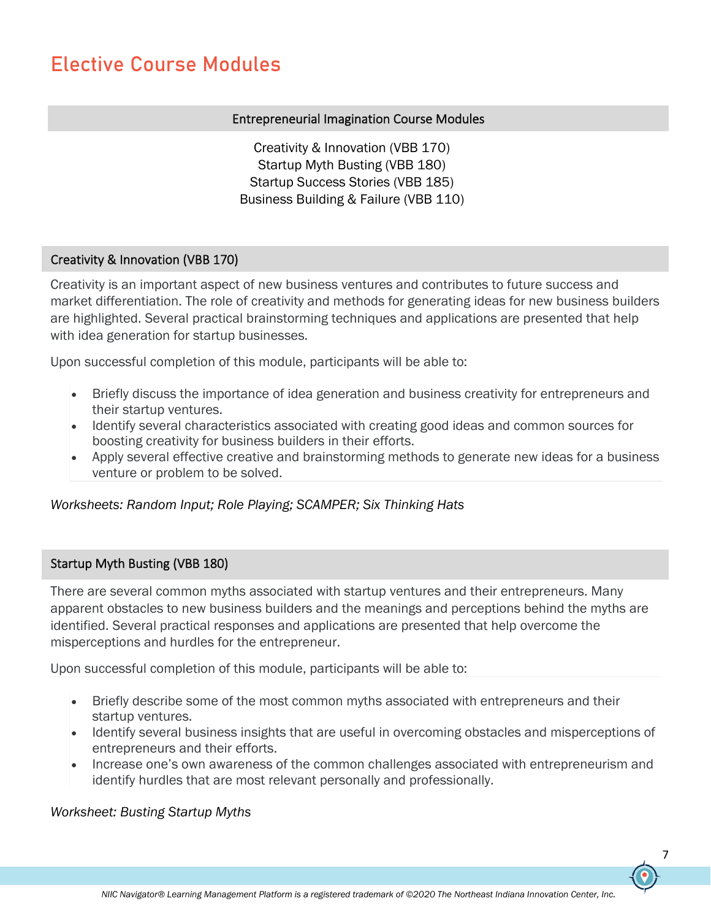## Elective Course Modules

#### Entrepreneurial Imagination Course Modules

Creativity & Innovation (VBB 170) Startup Myth Busting (VBB 180) Startup Success Stories (VBB 185) Business Building & Failure (VBB 110)

### Creativity & Innovation (VBB 170)

Creativity is an important aspect of new business ventures and contributes to future success and market differentiation. The role of creativity and methods for generating ideas for new business builders are highlighted. Several practical brainstorming techniques and applications are presented that help with idea generation for startup businesses.

Upon successful completion of this module, participants will be able to:

- Briefly discuss the importance of idea generation and business creativity for entrepreneurs and their startup ventures.
- Identify several characteristics associated with creating good ideas and common sources for boosting creativity for business builders in their efforts.
- Apply several effective creative and brainstorming methods to generate new ideas for a business venture or problem to be solved.

*Worksheets: Random Input; Role Playing; SCAMPER; Six Thinking Hats*

#### Startup Myth Busting (VBB 180)

There are several common myths associated with startup ventures and their entrepreneurs. Many apparent obstacles to new business builders and the meanings and perceptions behind the myths are identified. Several practical responses and applications are presented that help overcome the misperceptions and hurdles for the entrepreneur.

Upon successful completion of this module, participants will be able to:

- Briefly describe some of the most common myths associated with entrepreneurs and their startup ventures.
- Identify several business insights that are useful in overcoming obstacles and misperceptions of entrepreneurs and their efforts.
- Increase one's own awareness of the common challenges associated with entrepreneurism and identify hurdles that are most relevant personally and professionally.

## *Worksheet: Busting Startup Myths*